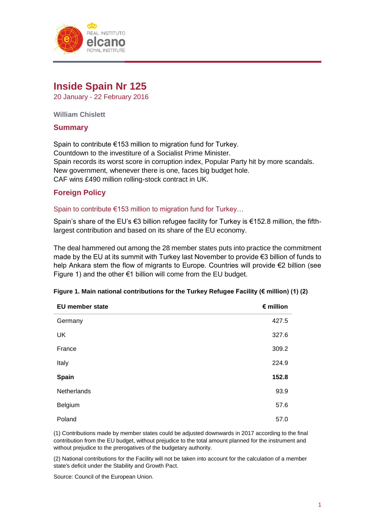

# **Inside Spain Nr 125**

20 January - 22 February 2016

**William Chislett**

# **Summary**

Spain to contribute €153 million to migration fund for Turkey. Countdown to the investiture of a Socialist Prime Minister. Spain records its worst score in corruption index, Popular Party hit by more scandals. New government, whenever there is one, faces big budget hole. CAF wins £490 million rolling-stock contract in UK.

# **Foreign Policy**

#### Spain to contribute €153 million to migration fund for Turkey...

Spain's share of the EU's €3 billion refugee facility for Turkey is €152.8 million, the fifthlargest contribution and based on its share of the EU economy.

The deal hammered out among the 28 member states puts into practice the commitment made by the EU at its summit with Turkey last November to provide €3 billion of funds to help Ankara stem the flow of migrants to Europe. Countries will provide €2 billion (see Figure 1) and the other  $\epsilon$ 1 billion will come from the EU budget.

|  |  | Figure 1. Main national contributions for the Turkey Refugee Facility (€ million) (1) (2) |  |  |  |  |  |  |  |
|--|--|-------------------------------------------------------------------------------------------|--|--|--|--|--|--|--|
|--|--|-------------------------------------------------------------------------------------------|--|--|--|--|--|--|--|

| EU member state | $\epsilon$ million |
|-----------------|--------------------|
| Germany         | 427.5              |
| <b>UK</b>       | 327.6              |
| France          | 309.2              |
| Italy           | 224.9              |
| Spain           | 152.8              |
| Netherlands     | 93.9               |
| Belgium         | 57.6               |
| Poland          | 57.0               |

(1) Contributions made by member states could be adjusted downwards in 2017 according to the final contribution from the EU budget, without prejudice to the total amount planned for the instrument and without prejudice to the prerogatives of the budgetary authority.

(2) National contributions for the Facility will not be taken into account for the calculation of a member state's deficit under the Stability and Growth Pact.

Source: Council of the European Union.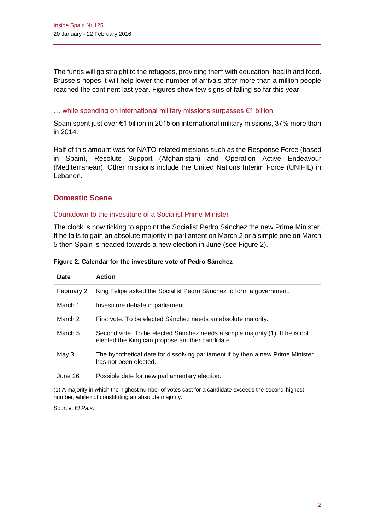The funds will go straight to the refugees, providing them with education, health and food. Brussels hopes it will help lower the number of arrivals after more than a million people reached the continent last year. Figures show few signs of falling so far this year.

#### … while spending on international military missions surpasses €1 billion

Spain spent just over €1 billion in 2015 on international military missions, 37% more than in 2014.

Half of this amount was for NATO-related missions such as the Response Force (based in Spain), Resolute Support (Afghanistan) and Operation Active Endeavour (Mediterranean). Other missions include the United Nations Interim Force (UNIFIL) in Lebanon.

# **Domestic Scene**

#### Countdown to the investiture of a Socialist Prime Minister

The clock is now ticking to appoint the Socialist Pedro Sánchez the new Prime Minister. If he fails to gain an absolute majority in parliament on March 2 or a simple one on March 5 then Spain is headed towards a new election in June (see Figure 2).

| Date       | <b>Action</b>                                                                                                                   |
|------------|---------------------------------------------------------------------------------------------------------------------------------|
| February 2 | King Felipe asked the Socialist Pedro Sánchez to form a government.                                                             |
| March 1    | Investiture debate in parliament.                                                                                               |
| March 2    | First vote. To be elected Sánchez needs an absolute majority.                                                                   |
| March 5    | Second vote. To be elected Sánchez needs a simple majority (1). If he is not<br>elected the King can propose another candidate. |
| May 3      | The hypothetical date for dissolving parliament if by then a new Prime Minister<br>has not been elected.                        |
| June 26    | Possible date for new parliamentary election.                                                                                   |

#### **Figure 2. Calendar for the investiture vote of Pedro Sánchez**

(1) A majority in which the highest number of votes cast for a candidate exceeds the second-highest number, while not constituting an absolute majority.

Source: *El País*.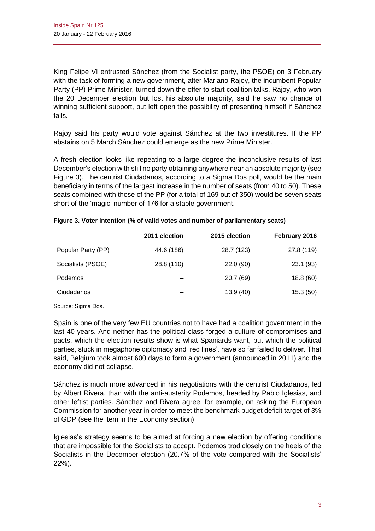King Felipe VI entrusted Sánchez (from the Socialist party, the PSOE) on 3 February with the task of forming a new government, after Mariano Rajoy, the incumbent Popular Party (PP) Prime Minister, turned down the offer to start coalition talks. Rajoy, who won the 20 December election but lost his absolute majority, said he saw no chance of winning sufficient support, but left open the possibility of presenting himself if Sánchez fails.

Rajoy said his party would vote against Sánchez at the two investitures. If the PP abstains on 5 March Sánchez could emerge as the new Prime Minister.

A fresh election looks like repeating to a large degree the inconclusive results of last December's election with still no party obtaining anywhere near an absolute majority (see Figure 3). The centrist Ciudadanos, according to a Sigma Dos poll, would be the main beneficiary in terms of the largest increase in the number of seats (from 40 to 50). These seats combined with those of the PP (for a total of 169 out of 350) would be seven seats short of the 'magic' number of 176 for a stable government.

|                    | 2011 election | 2015 election | February 2016 |
|--------------------|---------------|---------------|---------------|
| Popular Party (PP) | 44.6 (186)    | 28.7 (123)    | 27.8 (119)    |
| Socialists (PSOE)  | 28.8 (110)    | 22.0(90)      | 23.1(93)      |
| <b>Podemos</b>     |               | 20.7(69)      | 18.8(60)      |
| Ciudadanos         |               | 13.9(40)      | 15.3(50)      |

#### **Figure 3. Voter intention (% of valid votes and number of parliamentary seats)**

Source: Sigma Dos.

Spain is one of the very few EU countries not to have had a coalition government in the last 40 years. And neither has the political class forged a culture of compromises and pacts, which the election results show is what Spaniards want, but which the political parties, stuck in megaphone diplomacy and 'red lines', have so far failed to deliver. That said, Belgium took almost 600 days to form a government (announced in 2011) and the economy did not collapse.

Sánchez is much more advanced in his negotiations with the centrist Ciudadanos, led by Albert Rivera, than with the anti-austerity Podemos, headed by Pablo Iglesias, and other leftist parties. Sánchez and Rivera agree, for example, on asking the European Commission for another year in order to meet the benchmark budget deficit target of 3% of GDP (see the item in the Economy section).

Iglesias's strategy seems to be aimed at forcing a new election by offering conditions that are impossible for the Socialists to accept. Podemos trod closely on the heels of the Socialists in the December election (20.7% of the vote compared with the Socialists' 22%).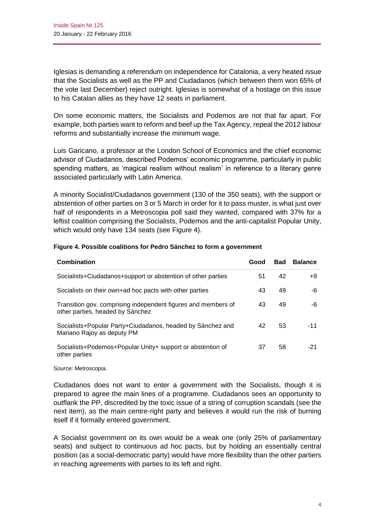Iglesias is demanding a referendum on independence for Catalonia, a very heated issue that the Socialists as well as the PP and Ciudadanos (which between them won 65% of the vote last December) reject outright. Iglesias is somewhat of a hostage on this issue to his Catalan allies as they have 12 seats in parliament.

On some economic matters, the Socialists and Podemos are not that far apart. For example, both parties want to reform and beef up the Tax Agency, repeal the 2012 labour reforms and substantially increase the minimum wage.

Luis Garicano, a professor at the London School of Economics and the chief economic advisor of Ciudadanos, described Podemos' economic programme, particularly in public spending matters, as 'magical realism without realism' in reference to a literary genre associated particularly with Latin America.

A minority Socialist/Ciudadanos government (130 of the 350 seats), with the support or abstention of other parties on 3 or 5 March in order for it to pass muster, is what just over half of respondents in a Metroscopia poll said they wanted, compared with 37% for a leftist coalition comprising the Socialists, Podemos and the anti-capitalist Popular Unity, which would only have 134 seats (see Figure 4).

| <b>Combination</b>                                                                                | Good | <b>Bad</b> | <b>Balance</b> |
|---------------------------------------------------------------------------------------------------|------|------------|----------------|
| Socialists+Ciudadanos+support or abstention of other parties                                      | 51   | 42         | +9             |
| Socialists on their own+ad hoc pacts with other parties                                           | 43   | 49         | -6             |
| Transition gov. comprising independent figures and members of<br>other parties, headed by Sánchez | 43   | 49         | -6             |
| Socialists+Popular Party+Ciudadanos, headed by Sánchez and<br>Mariano Rajoy as deputy PM          | 42   | 53         | $-11$          |
| Socialists+Podemos+Popular Unity+ support or abstention of<br>other parties                       | 37   | 58         | -21            |

# **Figure 4. Possible coalitions for Pedro Sánchez to form a government**

Source: Metroscopia.

Ciudadanos does not want to enter a government with the Socialists, though it is prepared to agree the main lines of a programme. Ciudadanos sees an opportunity to outflank the PP, discredited by the toxic issue of a string of corruption scandals (see the next item), as the main centre-right party and believes it would run the risk of burning itself if it formally entered government.

A Socialist government on its own would be a weak one (only 25% of parliamentary seats) and subject to continuous ad hoc pacts, but by holding an essentially central position (as a social-democratic party) would have more flexibility than the other partiers in reaching agreements with parties to its left and right.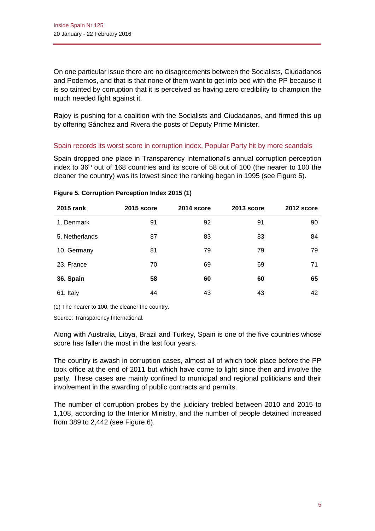On one particular issue there are no disagreements between the Socialists, Ciudadanos and Podemos, and that is that none of them want to get into bed with the PP because it is so tainted by corruption that it is perceived as having zero credibility to champion the much needed fight against it.

Rajoy is pushing for a coalition with the Socialists and Ciudadanos, and firmed this up by offering Sánchez and Rivera the posts of Deputy Prime Minister.

# Spain records its worst score in corruption index, Popular Party hit by more scandals

Spain dropped one place in Transparency International's annual corruption perception index to 36th out of 168 countries and its score of 58 out of 100 (the nearer to 100 the cleaner the country) was its lowest since the ranking began in 1995 (see Figure 5).

| 2015 rank      | <b>2015 score</b> | 2014 score | 2013 score | 2012 score |
|----------------|-------------------|------------|------------|------------|
| 1. Denmark     | 91                | 92         | 91         | 90         |
| 5. Netherlands | 87                | 83         | 83         | 84         |
| 10. Germany    | 81                | 79         | 79         | 79         |
| 23. France     | 70                | 69         | 69         | 71         |
| 36. Spain      | 58                | 60         | 60         | 65         |
| 61. Italy      | 44                | 43         | 43         | 42         |

#### **Figure 5. Corruption Perception Index 2015 (1)**

(1) The nearer to 100, the cleaner the country.

Source: Transparency International.

Along with Australia, Libya, Brazil and Turkey, Spain is one of the five countries whose score has fallen the most in the last four years.

The country is awash in corruption cases, almost all of which took place before the PP took office at the end of 2011 but which have come to light since then and involve the party. These cases are mainly confined to municipal and regional politicians and their involvement in the awarding of public contracts and permits.

The number of corruption probes by the judiciary trebled between 2010 and 2015 to 1,108, according to the Interior Ministry, and the number of people detained increased from 389 to 2,442 (see Figure 6).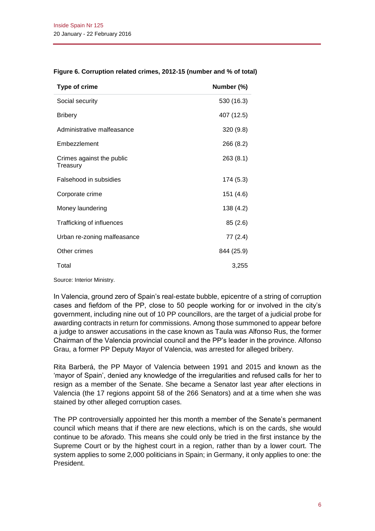| <b>Type of crime</b>                  | Number (%) |
|---------------------------------------|------------|
| Social security                       | 530 (16.3) |
| <b>Bribery</b>                        | 407 (12.5) |
| Administrative malfeasance            | 320 (9.8)  |
| Embezzlement                          | 266 (8.2)  |
| Crimes against the public<br>Treasury | 263(8.1)   |
| Falsehood in subsidies                | 174 (5.3)  |
| Corporate crime                       | 151 (4.6)  |
| Money laundering                      | 138 (4.2)  |
| Trafficking of influences             | 85(2.6)    |
| Urban re-zoning malfeasance           | 77 (2.4)   |
| Other crimes                          | 844 (25.9) |
| Total                                 | 3,255      |

#### **Figure 6. Corruption related crimes, 2012-15 (number and % of total)**

Source: Interior Ministry.

In Valencia, ground zero of Spain's real-estate bubble, epicentre of a string of corruption cases and fiefdom of the PP, close to 50 people working for or involved in the city's government, including nine out of 10 PP councillors, are the target of a judicial probe for awarding contracts in return for commissions. Among those summoned to appear before a judge to answer accusations in the case known as Taula was Alfonso Rus, the former Chairman of the Valencia provincial council and the PP's leader in the province. Alfonso Grau, a former PP Deputy Mayor of Valencia, was arrested for alleged bribery.

Rita Barberá, the PP Mayor of Valencia between 1991 and 2015 and known as the 'mayor of Spain', denied any knowledge of the irregularities and refused calls for her to resign as a member of the Senate. She became a Senator last year after elections in Valencia (the 17 regions appoint 58 of the 266 Senators) and at a time when she was stained by other alleged corruption cases.

The PP controversially appointed her this month a member of the Senate's permanent council which means that if there are new elections, which is on the cards, she would continue to be *aforado*. This means she could only be tried in the first instance by the Supreme Court or by the highest court in a region, rather than by a lower court. The system applies to some 2,000 politicians in Spain; in Germany, it only applies to one: the President.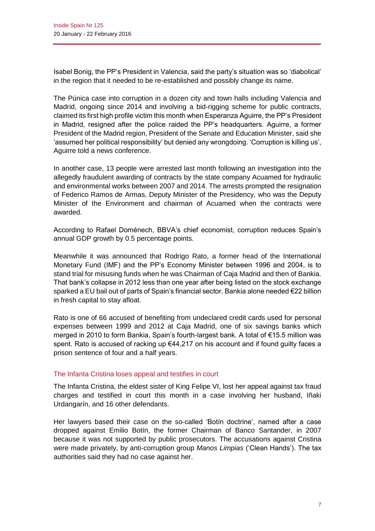Isabel Bonig, the PP's President in Valencia, said the party's situation was so 'diabolical' in the region that it needed to be re-established and possibly change its name.

The Púnica case into corruption in a dozen city and town halls including Valencia and Madrid, ongoing since 2014 and involving a bid-rigging scheme for public contracts, claimed its first high profile victim this month when Esperanza Aguirre, the PP's President in Madrid, resigned after the police raided the PP's headquarters. Aguirre, a former President of the Madrid region, President of the Senate and Education Minister, said she 'assumed her political responsibility' but denied any wrongdoing. 'Corruption is killing us', Aguirre told a news conference.

In another case, 13 people were arrested last month following an investigation into the allegedly fraudulent awarding of contracts by the state company Acuamed for hydraulic and environmental works between 2007 and 2014. The arrests prompted the resignation of Federico Ramos de Armas, Deputy Minister of the Presidency, who was the Deputy Minister of the Environment and chairman of Acuamed when the contracts were awarded.

According to Rafael Doménech, BBVA's chief economist, corruption reduces Spain's annual GDP growth by 0.5 percentage points.

Meanwhile it was announced that Rodrigo Rato, a former head of the International Monetary Fund (IMF) and the PP's Economy Minister between 1996 and 2004, is to stand trial for misusing funds when he was Chairman of Caja Madrid and then of Bankia. That bank's collapse in 2012 less than one year after being listed on the stock exchange sparked a EU bail out of parts of Spain's financial sector. Bankia alone needed €22 billion in fresh capital to stay afloat.

Rato is one of 66 accused of benefiting from undeclared credit cards used for personal expenses between 1999 and 2012 at Caja Madrid, one of six savings banks which merged in 2010 to form Bankia, Spain's fourth-largest bank. A total of €15.5 million was spent. Rato is accused of racking up €44,217 on his account and if found guilty faces a prison sentence of four and a half years.

# The Infanta Cristina loses appeal and testifies in court

The Infanta Cristina, the eldest sister of King Felipe VI, lost her appeal against tax fraud charges and testified in court this month in a case involving her husband, Iñaki Urdangarín, and 16 other defendants.

Her lawyers based their case on the so-called 'Botín doctrine', named after a case dropped against Emilio Botín, the former Chairman of Banco Santander, in 2007 because it was not supported by public prosecutors. The accusations against Cristina were made privately, by anti-corruption group *Manos Limpias* ('Clean Hands'). The tax authorities said they had no case against her.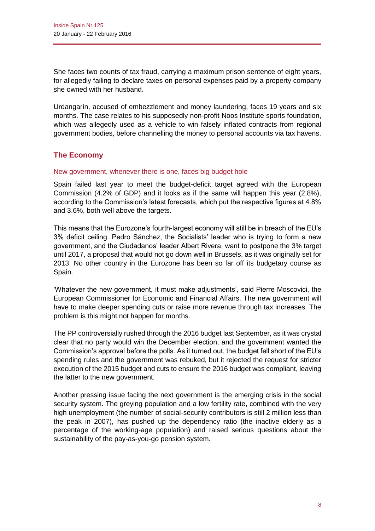She faces two counts of tax fraud, carrying a maximum prison sentence of eight years, for allegedly failing to declare taxes on personal expenses paid by a property company she owned with her husband.

Urdangarín, accused of embezzlement and money laundering, faces 19 years and six months. The case relates to his supposedly non-profit Noos Institute sports foundation, which was allegedly used as a vehicle to win falsely inflated contracts from regional government bodies, before channelling the money to personal accounts via tax havens.

# **The Economy**

# New government, whenever there is one, faces big budget hole

Spain failed last year to meet the budget-deficit target agreed with the European Commission (4.2% of GDP) and it looks as if the same will happen this year (2.8%), according to the Commission's latest forecasts, which put the respective figures at 4.8% and 3.6%, both well above the targets.

This means that the Eurozone's fourth-largest economy will still be in breach of the EU's 3% deficit ceiling. Pedro Sánchez, the Socialists' leader who is trying to form a new government, and the Ciudadanos' leader Albert Rivera, want to postpone the 3% target until 2017, a proposal that would not go down well in Brussels, as it was originally set for 2013. No other country in the Eurozone has been so far off its budgetary course as Spain.

'Whatever the new government, it must make adjustments', said Pierre Moscovici, the European Commissioner for Economic and Financial Affairs. The new government will have to make deeper spending cuts or raise more revenue through tax increases. The problem is this might not happen for months.

The PP controversially rushed through the 2016 budget last September, as it was crystal clear that no party would win the December election, and the government wanted the Commission's approval before the polls. As it turned out, the budget fell short of the EU's spending rules and the government was rebuked, but it rejected the request for stricter execution of the 2015 budget and cuts to ensure the 2016 budget was compliant, leaving the latter to the new government.

Another pressing issue facing the next government is the emerging crisis in the social security system. The greying population and a low fertility rate, combined with the very high unemployment (the number of social-security contributors is still 2 million less than the peak in 2007), has pushed up the dependency ratio (the inactive elderly as a percentage of the working-age population) and raised serious questions about the sustainability of the pay-as-you-go pension system.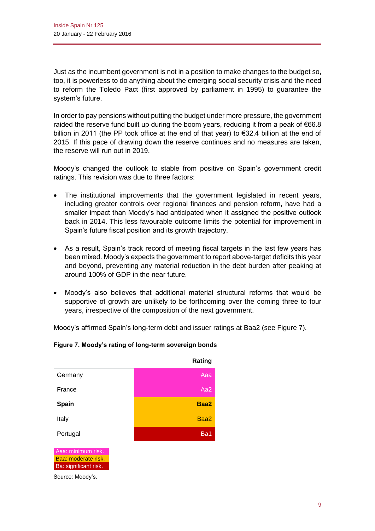Just as the incumbent government is not in a position to make changes to the budget so, too, it is powerless to do anything about the emerging social security crisis and the need to reform the Toledo Pact (first approved by parliament in 1995) to guarantee the system's future.

In order to pay pensions without putting the budget under more pressure, the government raided the reserve fund built up during the boom years, reducing it from a peak of  $€66.8$ billion in 2011 (the PP took office at the end of that year) to €32.4 billion at the end of 2015. If this pace of drawing down the reserve continues and no measures are taken, the reserve will run out in 2019.

Moody's changed the outlook to stable from positive on Spain's government credit ratings. This revision was due to three factors:

- The institutional improvements that the government legislated in recent years, including greater controls over regional finances and pension reform, have had a smaller impact than Moody's had anticipated when it assigned the positive outlook back in 2014. This less favourable outcome limits the potential for improvement in Spain's future fiscal position and its growth trajectory.
- As a result, Spain's track record of meeting fiscal targets in the last few years has been mixed. Moody's expects the government to report above-target deficits this year and beyond, preventing any material reduction in the debt burden after peaking at around 100% of GDP in the near future.
- Moody's also believes that additional material structural reforms that would be supportive of growth are unlikely to be forthcoming over the coming three to four years, irrespective of the composition of the next government.

Moody's affirmed Spain's long-term debt and issuer ratings at Baa2 (see Figure 7).



# **Figure 7. Moody's rating of long-term sovereign bonds**

Source: Moody's.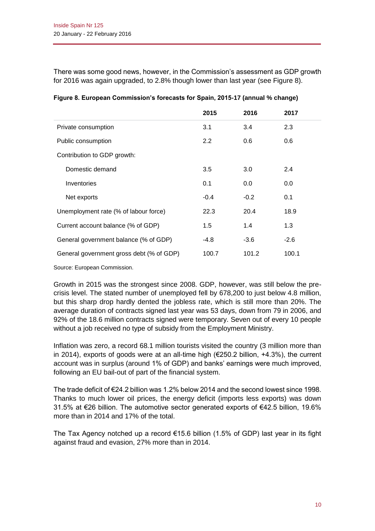There was some good news, however, in the Commission's assessment as GDP growth for 2016 was again upgraded, to 2.8% though lower than last year (see Figure 8).

|                                          | 2015          | 2016   | 2017   |
|------------------------------------------|---------------|--------|--------|
| Private consumption                      | 3.1           | 3.4    | 2.3    |
| Public consumption                       | $2.2^{\circ}$ | 0.6    | 0.6    |
| Contribution to GDP growth:              |               |        |        |
| Domestic demand                          | 3.5           | 3.0    | 2.4    |
| Inventories                              | 0.1           | 0.0    | 0.0    |
| Net exports                              | $-0.4$        | $-0.2$ | 0.1    |
| Unemployment rate (% of labour force)    | 22.3          | 20.4   | 18.9   |
| Current account balance (% of GDP)       | 1.5           | 1.4    | 1.3    |
| General government balance (% of GDP)    | -4.8          | $-3.6$ | $-2.6$ |
| General government gross debt (% of GDP) | 100.7         | 101.2  | 100.1  |

|  | Figure 8. European Commission's forecasts for Spain, 2015-17 (annual % change) |  |
|--|--------------------------------------------------------------------------------|--|
|  |                                                                                |  |

Source: European Commission.

Growth in 2015 was the strongest since 2008. GDP, however, was still below the precrisis level. The stated number of unemployed fell by 678,200 to just below 4.8 million, but this sharp drop hardly dented the jobless rate, which is still more than 20%. The average duration of contracts signed last year was 53 days, down from 79 in 2006, and 92% of the 18.6 million contracts signed were temporary. Seven out of every 10 people without a job received no type of subsidy from the Employment Ministry.

Inflation was zero, a record 68.1 million tourists visited the country (3 million more than in 2014), exports of goods were at an all-time high (€250.2 billion, +4.3%), the current account was in surplus (around 1% of GDP) and banks' earnings were much improved, following an EU bail-out of part of the financial system.

The trade deficit of €24.2 billion was 1.2% below 2014 and the second lowest since 1998. Thanks to much lower oil prices, the energy deficit (imports less exports) was down 31.5% at €26 billion. The automotive sector generated exports of €42.5 billion, 19.6% more than in 2014 and 17% of the total.

The Tax Agency notched up a record  $€15.6$  billion (1.5% of GDP) last year in its fight against fraud and evasion, 27% more than in 2014.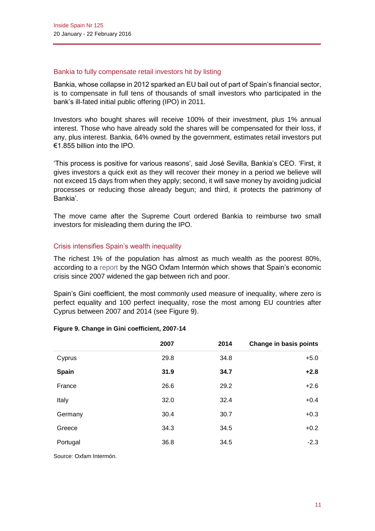### Bankia to fully compensate retail investors hit by listing

Bankia, whose collapse in 2012 sparked an EU bail out of part of Spain's financial sector, is to compensate in full tens of thousands of small investors who participated in the bank's ill-fated initial public offering (IPO) in 2011.

Investors who bought shares will receive 100% of their investment, plus 1% annual interest. Those who have already sold the shares will be compensated for their loss, if any, plus interest. Bankia, 64% owned by the government, estimates retail investors put €1.855 billion into the IPO.

'This process is positive for various reasons', said José Sevilla, Bankia's CEO. 'First, it gives investors a quick exit as they will recover their money in a period we believe will not exceed 15 days from when they apply; second, it will save money by avoiding judicial processes or reducing those already begun; and third, it protects the patrimony of Bankia'.

The move came after the Supreme Court ordered Bankia to reimburse two small investors for misleading them during the IPO.

# Crisis intensifies Spain's wealth inequality

The richest 1% of the population has almost as much wealth as the poorest 80%, according to a [report](https://oxfamintermon.s3.amazonaws.com/sites/default/files/documentos/files/economia-para-minoria-anexo-espana.pdf) by the NGO Oxfam Intermón which shows that Spain's economic crisis since 2007 widened the gap between rich and poor.

Spain's Gini coefficient, the most commonly used measure of inequality, where zero is perfect equality and 100 perfect inequality, rose the most among EU countries after Cyprus between 2007 and 2014 (see Figure 9).

| <b>Change in basis points</b> |
|-------------------------------|
| $+5.0$                        |
| $+2.8$                        |
| $+2.6$                        |
| $+0.4$                        |
| $+0.3$                        |
| $+0.2$                        |
| $-2.3$                        |
|                               |

# **Figure 9. Change in Gini coefficient, 2007-14**

Source: Oxfam Intermón.